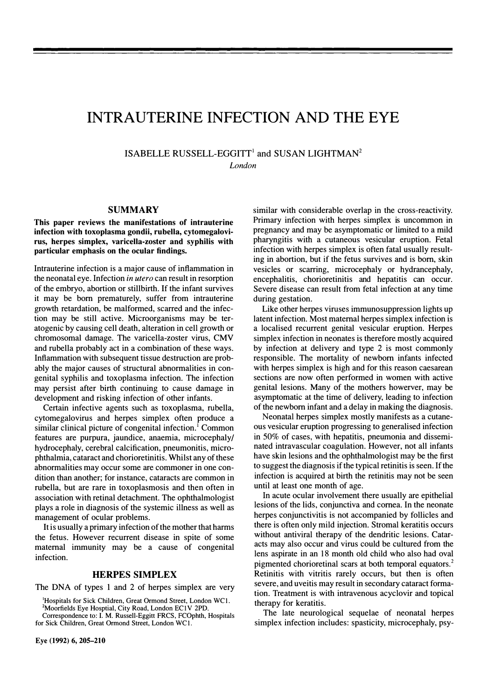# INTRAUTERINE INFECTION AND THE EYE

ISABELLE RUSSELL-EGGITT' and SUSAN LIGHTMAN2 London

#### SUMMARY

This paper reviews the manifestations of intrauterine infection with toxoplasma gondii, rubella, cytomegalovirus, herpes simplex, varicella-zoster and syphilis with particular emphasis on the ocular findings.

Intrauterine infection is a major cause of inflammation in the neonatal eye. Infection in utero can result in resorption of the embryo, abortion or stillbirth. If the infant survives it may be born prematurely, suffer from intrauterine growth retardation, be malformed, scarred and the infection may be still active. Microorganisms may be teratogenic by causing cell death, alteration in cell growth or chromosomal damage. The varicella-zoster virus, CMV and rubella probably act in a combination of these ways. Inflammation with subsequent tissue destruction are probably the major causes of structural abnormalities in congenital syphilis and toxoplasma infection. The infection may persist after birth continuing to cause damage in development and risking infection of other infants.

Certain infective agents such as toxoplasma, rubella, cytomegalovirus and herpes simplex often produce a similar clinical picture of congenital infection.' Common features are purpura, jaundice, anaemia, microcephaly/ hydrocephaly, cerebral calcification, pneumonitis, microphthalmia, cataract and chorioretinitis. Whilst any of these abnormalities may occur some are commoner in one condition than another; for instance, cataracts are common in rubella, but are rare in toxoplasmosis and then often in association with retinal detachment. The ophthalmologist plays a role in diagnosis of the systemic illness as well as management of ocular problems.

It is usually a primary infection of the mother that harms the fetus. However recurrent disease in spite of some maternal immunity may be a cause of congenital infection.

### HERPES SIMPLEX

The DNA of types 1 and 2 of herpes simplex are very

2Moorfields Eye Hosptial, City Road, London ECIV 2PD.

Eye (1992) 6,205-210

similar with considerable overlap in the cross-reactivity. Primary infection with herpes simplex is uncommon in pregnancy and may be asymptomatic or limited to a mild pharyngitis with a cutaneous vesicular eruption. Fetal infection with herpes simplex is often fatal usually resulting in abortion, but if the fetus survives and is born, skin vesicles or scarring, microcephaly or hydrancephaly, encephalitis, chorioretinitis and hepatitis can occur. Severe disease can result from fetal infection at any time during gestation.

Like other herpes viruses immunosuppression lights up latent infection. Most maternal herpes simplex infection is a localised recurrent genital vesicular eruption. Herpes simplex infection in neonates is therefore mostly acquired by infection at delivery and type 2 is most commonly responsible. The mortality of newborn infants infected with herpes simplex is high and for this reason caesarean sections are now often performed in women with active genital lesions. Many of the mothers howerver, may be asymptomatic at the time of delivery, leading to infection of the newborn infant and a delay in making the diagnosis.

Neonatal herpes simplex mostly manifests as a cutaneous vesicular eruption progressing to generalised infection in 50% of cases, with hepatitis, pneumonia and disseminated intravascular coagulation. However, not all infants have skin lesions and the ophthalmologist may be the first to suggest the diagnosis if the typical retinitis is seen. If the infection is acquired at birth the retinitis may not be seen until at least one month of age.

In acute ocular involvement there usually are epithelial lesions of the lids, conjunctiva and cornea. In the neonate herpes conjunctivitis is not accompanied by follicles and there is often only mild injection. Stromal keratitis occurs without antiviral therapy of the dendritic lesions. Cataracts may also occur and virus could be cultured from the lens aspirate in an 18 month old child who also had oval pigmented chorioretinal scars at both temporal equators.<sup>2</sup> Retinitis with vitritis rarely occurs, but then is often severe, and uveitis may result in secondary cataract formation. Treatment is with intravenous acyclovir and topical therapy for keratitis.

The late neurological sequelae of neonatal herpes simplex infection includes: spasticity, microcephaly, psy-

<sup>&#</sup>x27;Hospitals for Sick Children, Great Ormond Street, London WCI.

Correspondence to: I. M. Russell-Eggitt FRCS, FCOphth, Hospitals for Sick Children, Great Ormond Street, London WCI.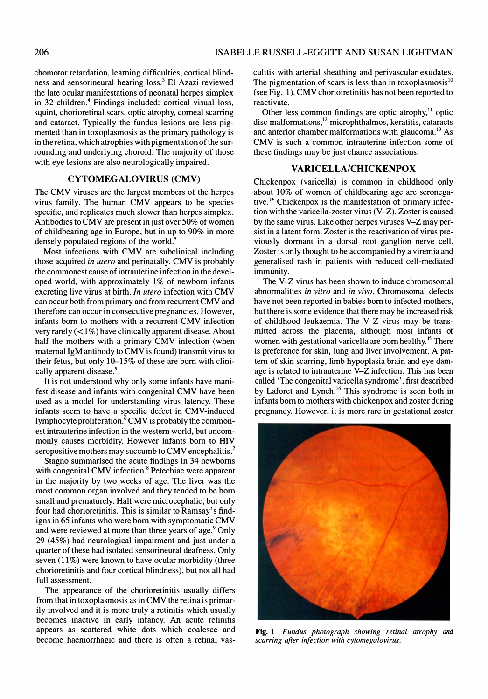chomotor retardation, learning difficulties, cortical blindness and sensorineural hearing loss.3 El Azazi reviewed the late ocular manifestations of neonatal herpes simplex in 32 children.<sup>4</sup> Findings included: cortical visual loss, squint, chorioretinal scars, optic atrophy, corneal scarring and cataract. Typically the fundus lesions are less pigmented than in toxoplasmosis as the primary pathology is in the retina, which atrophies with pigmentation of the surrounding and underlying choroid. The majority of those with eye lesions are also neurologically impaired.

# CYTOMEGALOVIRUS (CMV)

The CMV viruses are the largest members of the herpes virus family. The human CMV appears to be species specific, and replicates much slower than herpes simplex. Antibodies to CMV are present in just over 50% of women of childbearing age in Europe, but in up to 90% in more densely populated regions of the world.<sup>5</sup>

Most infections with CMV are subclinical including those acquired in utero and perinatally. CMV is probably the commonest cause of intrauterine infection in the developed world, with approximately  $1\%$  of newborn infants excreting live virus at birth. In utero infection with CMV can occur both from primary and from recurrent CMV and therefore can occur in consecutive pregnancies. However, infants born to mothers with a recurrent CMV infection very rarely  $(< 1\%)$  have clinically apparent disease. About half the mothers with a primary CMV infection (when maternal IgM antibody to CMV is found) transmit virus to their fetus, but only 10-15% of these are born with clinically apparent disease.<sup>5</sup>

It is not understood why only some infants have manifest disease and infants with congenital CMV have been used as a model for understanding virus latency. These infants seem to have a specific defect in CMV-induced lymphocyte proliferation.<sup>6</sup> CMV is probably the commonest intrauterine infection in the western world, but uncommonly causes morbidity. However infants born to HIV seropositive mothers may succumb to CMV encephalitis.<sup>7</sup>

Stagno summarised the acute findings in 34 newborns with congenital CMV infection.<sup>8</sup> Petechiae were apparent in the majority by two weeks of age. The liver was the most common organ involved and they tended to be born small and prematurely. Half were microcephalic, but only four had chorioretinitis. This is similar to Ramsay's findigns in 65 infants who were born with symptomatic CMV and were reviewed at more than three years of age.<sup>9</sup> Only 29 (45%) had neurological impairment and just under a quarter of these had isolated sensorineural deafness. Only seven  $(11\%)$  were known to have ocular morbidity (three chorioretinitis and four cortical blindness), but not all had full assessment.

The appearance of the chorioretinitis usually differs from that in toxoplasmosis as in CMV the retina is primarily involved and it is more truly a retinitis which usually becomes inactive in early infancy. An acute retinitis appears as scattered white dots which coalesce and become haemorrhagic and there is often a retinal vasculitis with arterial sheathing and perivascular exudates. The pigmentation of scars is less than in toxoplasmosis<sup>10</sup> (see Fig. 1). CMV chorioiretinitis has not been reported to reactivate.

Other less common findings are optic atrophy, $11$  optic disc malformations,<sup>12</sup> microphthalmos, keratitis, cataracts and anterior chamber malformations with glaucoma.<sup>13</sup> As CMV is such a common intrauterine infection some of these findings may be just chance associations.

# VARICELLA/CHICKENPOX

Chickenpox (varicella) is common in childhood only about 10% of women of childbearing age are seronegative.<sup>14</sup> Chickenpox is the manifestation of primary infection with the varicella-zoster virus (V-Z). Zoster is caused by the same virus. Like other herpes viruses V-Z may persist in a latent form. Zoster is the reactivation of virus previously dormant in a dorsal root ganglion nerve cell. Zoster is only thought to be accompanied by a viremia and generalised rash in patients with reduced cell-mediated immunity.

The V-Z virus has been shown to induce chromosomal abnormalities in vitro and in vivo. Chromosomal defects have not been reported in babies born to infected mothers, but there is some evidence that there may be increased risk of childhood leukaemia. The V-Z virus may be transmitted across the placenta, although most infants of women with gestational varicella are born healthy.<sup>15</sup> There is preference for skin, lung and liver involvement. A pattern of skin scarring, limb hypoplasia brain and eye damage is related to intrauterine V-Z infection. This has been called 'The congenital varicella syndrome' , first described by Laforet and Lynch.<sup>16</sup> This syndrome is seen both in infants born to mothers with chickenpox and zoster during pregnancy. However, it is more rare in gestational zoster



Fig. 1 Fundus photograph showing retinal atrophy and scarring after infection with cytomegalovirus.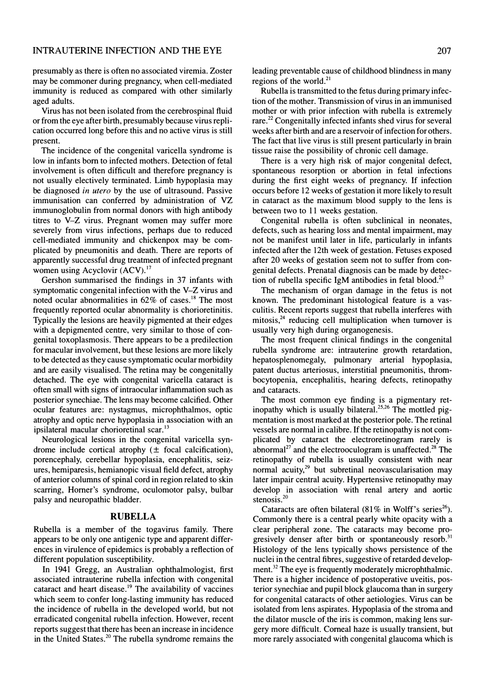presumably as there is often no associated viremia. Zoster may be commoner during pregnancy, when cell-mediated immunity is reduced as compared with other similarly aged adults.

Virus has not been isolated from the cerebrospinal fluid or from the eye after birth, presumably because virus replication occurred long before this and no active virus is still present.

The incidence of the congenital varicella syndrome is low in infants born to infected mothers. Detection of fetal involvement is often difficult and therefore pregnancy is not usually electively terminated. Limb hypoplasia may be diagnosed in utero by the use of ultrasound. Passive immunisation can conferred by administration of VZ immunoglobulin from normal donors with high antibody titres to V-Z virus. Pregnant women may suffer more severely from virus infections, perhaps due to reduced cell-mediated immunity and chickenpox may be complicated by pneumonitis and death. There are reports of apparently successful drug treatment of infected pregnant women using Acyclovir (ACV).<sup>17</sup>

Gershon summarised the findings in 37 infants with symptomatic congenital infection with the V-Z virus and noted ocular abnormalities in  $62\%$  of cases.<sup>18</sup> The most frequently reported ocular abnormality is chorioretinitis. Typically the lesions are heavily pigmented at their edges with a depigmented centre, very similar to those of congenital toxoplasmosis. There appears to be a predilection for macular involvement, but these lesions are more likely to be detected as they cause symptomatic ocular morbidity and are easily visualised. The retina may be congenitally detached. The eye with congenital varicella cataract is often small with signs of intraocular inflammation such as posterior synechiae. The lens may become calcified. Other ocular features are: nystagmus, microphthalmos, optic atrophy and optic nerve hypoplasia in association with an ipsilateral macular chorioretinal scar.<sup>13</sup>

Neurological lesions in the congenital varicella syndrome include cortical atrophy  $(\pm$  focal calcification), porencephaly, cerebellar hypoplasia, encephalitis, seizures, hemiparesis, hemianopic visual field defect, atrophy of anterior columns of spinal cord in region related to skin scarring, Homer's syndrome, oculomotor palsy, bulbar palsy and neuropathic bladder.

### RUBELLA

Rubella is a member of the togavirus family. There appears to be only one antigenic type and apparent differences in virulence of epidemics is probably a reflection of different population susceptibility.

In 1941 Gregg, an Australian ophthalmologist, first associated intrauterine rubella infection with congenital cataract and heart disease.<sup>19</sup> The availability of vaccines which seem to confer long-lasting immunity has reduced the incidence of rubella in the developed world, but not erradicated congenital rubella infection. However, recent reports suggest that there has been an increase in incidence in the United States.<sup>20</sup> The rubella syndrome remains the

leading preventable cause of childhood blindness in many regions of the world. $^{21}$ 

Rubella is transmitted to the fetus during primary infection of the mother. Transmission of virus in an immunised mother or with prior infection with rubella is extremely rare.<sup>22</sup> Congenitally infected infants shed virus for several weeks after birth and are a reservoir of infection for others. The fact that live virus is still present particularly in brain tissue raise the possibility of chronic cell damage.

There is a very high risk of major congenital defect, spontaneous resorption or abortion in fetal infections during the first eight weeks of pregnancy. If infection occurs before 12 weeks of gestation it more likely to result in cataract as the maximum blood supply to the lens is between two to 11 weeks gestation.

Congenital rubella is often subclinical in neonates, defects, such as hearing loss and mental impairment, may not be manifest until later in life, particularly in infants infected after the 12th week of gestation. Fetuses exposed after 20 weeks of gestation seem not to suffer from congenital defects. Prenatal diagnosis can be made by detection of rubella specific IgM antibodies in fetal blood.<sup>23</sup>

The mechanism of organ damage in the fetus is not known. The predominant histological feature is a vasculitis. Recent reports suggest that rubella interferes with mitosis, $24$  reducing cell multiplication when turnover is usually very high during organogenesis.

The most frequent clinical findings in the congenital rubella syndrome are: intrauterine growth retardation, hepatosplenomegaly, pulmonary arterial hypoplasia, patent ductus arteriosus, interstitial pneumonitis, thrombocytopenia, encephalitis, hearing defects, retinopathy and cataracts.

The most common eye finding is a pigmentary retinopathy which is usually bilateral.<sup>25,26</sup> The mottled pigmentation is most marked at the posterior pole. The retinal vessels are normal in calibre. If the retinopathy is not complicated by cataract the electroretinogram rarely is abnormal<sup>27</sup> and the electrooculogram is unaffected.<sup>28</sup> The retinopathy of rubella is usually consistent with near normal acuity,<sup>29</sup> but subretinal neovascularisation may later impair central acuity. Hypertensive retinopathy may develop in association with renal artery and aortic stenosis.<sup>20</sup>

Cataracts are often bilateral (81% in Wolff's series<sup>26</sup>). Commonly there is a central pearly white opacity with a clear peripheral zone. The cataracts may become progresively denser after birth or spontaneously resorb.<sup>31</sup> Histology of the lens typically shows persistence of the nuclei in the central fibres, suggestive of retarded development.<sup>32</sup> The eye is frequently moderately microphthalmic. There is a higher incidence of postoperative uveitis, posterior synechiae and pupil block glaucoma than in surgery for congenital cataracts of other aetiologies. Virus can be isolated from lens aspirates. Hypoplasia of the stroma and the dilator muscle of the iris is common, making lens surgery more difficult. Corneal haze is usually transient, but more rarely associated with congenital glaucoma which is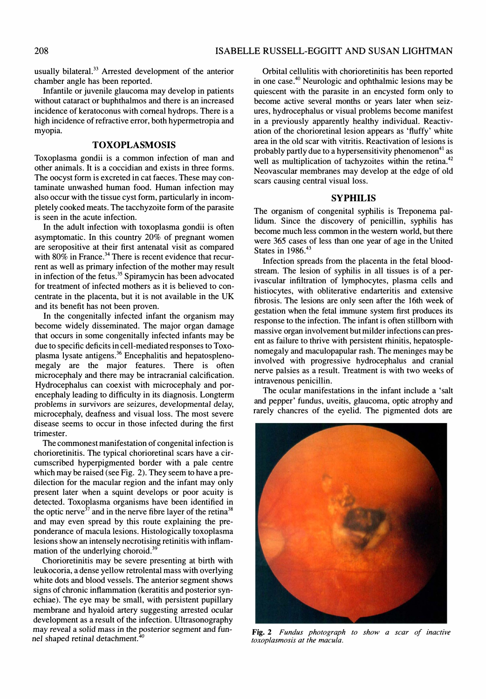usually bilateral.<sup>33</sup> Arrested development of the anterior chamber angle has been reported.

Infantile or juvenile glaucoma may develop in patients without cataract or buphthalmos and there is an increased incidence of keratoconus with corneal hydrops. There is a high incidence of refractive error, both hypermetropia and myopia.

# TOXOPLASMOSIS

Toxoplasma gondii is a common infection of man and other animals. It is a coccidian and exists in three forms. The oocyst form is excreted in cat faeces. These may contaminate unwashed human food. Human infection may also occur with the tissue cyst form, particularly in incompletely cooked meats. The tacchyzoite form of the parasite is seen in the acute infection.

In the adult infection with toxoplasma gondii is often asymptomatic. In this country 20% of pregnant women are seropositive at their first antenatal visit as compared with 80% in France.<sup>34</sup> There is recent evidence that recurrent as well as primary infection of the mother may result in infection of the fetus.<sup>35</sup> Spiramycin has been advocated for treatment of infected mothers as it is believed to concentrate in the placenta, but it is not available in the UK and its benefit has not been proven.

In the congenitally infected infant the organism may become widely disseminated. The major organ damage that occurs in some congenitally infected infants may be due to specific deficits in cell-mediated responses to Toxoplasma lysate antigens.<sup>36</sup> Encephalitis and hepatosplenomegaly are the major features. There is often microcephaly and there may be intracranial calcification. Hydrocephalus can coexist with microcephaly and porencephaly leading to difficulty in its diagnosis. Longterm problems in survivors are seizures, developmental delay, microcephaly, deafness and visual loss. The most severe disease seems to occur in those infected during the first trimester.

The commonest manifestation of congenital infection is chorioretinitis. The typical chorioretinal scars have a circumscribed hyperpigmented border with a pale centre which may be raised (see Fig. 2). They seem to have a predilection for the macular region and the infant may only present later when a squint develops or poor acuity is detected. Toxoplasma organisms have been identified in the optic nerve $37$  and in the nerve fibre layer of the retina<sup>38</sup> and may even spread by this route explaining the preponderance of macula lesions. Histologically toxoplasma lesions show an intensely necrotising retinitis with inflammation of the underlying choroid.<sup>39</sup>

Chorioretinitis may be severe presenting at birth with leukocoria, a dense yellow retrolental mass with overlying white dots and blood vessels. The anterior segment shows signs of chronic inflammation (keratitis and posterior synechiae). The eye may be small, with persistent pupillary membrane and hyaloid artery suggesting arrested ocular development as a result of the infection. Ultrasonography may reveal a solid mass in the posterior segment and funnel shaped retinal detachment.<sup>4</sup>

Orbital cellulitis with chorioretinitis has been reported in one case.40 Neurologic and ophthalmic lesions may be quiescent with the parasite in an encysted form only to become active several months or years later when seizures, hydrocephalus or visual problems become manifest in a previously apparently healthy individual. Reactivation of the chorioretinal lesion appears as 'fluffy' white area in the old scar with vitritis. Reactivation of lesions is probably partly due to a hypersensitivity phenomenon<sup>41</sup> as well as multiplication of tachyzoites within the retina.<sup>42</sup> Neovascular membranes may develop at the edge of old scars causing central visual loss.

#### SYPHILIS

The organism of congenital syphilis is Treponema pallidum. Since the discovery of penicillin, syphilis has become much less common in the western world, but there were 365 cases of less than one year of age in the United States in 1986.<sup>43</sup>

Infection spreads from the placenta in the fetal bloodstream. The lesion of syphilis in all tissues is of a perivascular infiltration of lymphocytes, plasma cells and histiocytes, with obliterative endarteritis and extensive fibrosis. The lesions are only seen after the 16th week of gestation when the fetal immune system first produces its response to the infection. The infant is often stillborn with massive organ involvement but milder infections can present as failure to thrive with persistent rhinitis, hepatosplenomegaly and maculopapular rash. The meninges may be involved with progressive hydrocephalus and cranial nerve palsies as a result. Treatment is with two weeks of intravenous penicillin.

The ocular manifestations in the infant include a 'salt and pepper' fundus, uveitis, glaucoma, optic atrophy and rarely chancres of the eyelid. The pigmented dots are



Fig. 2 Fundus photograph to show a scar of inactive toxoplasmosis at the macula.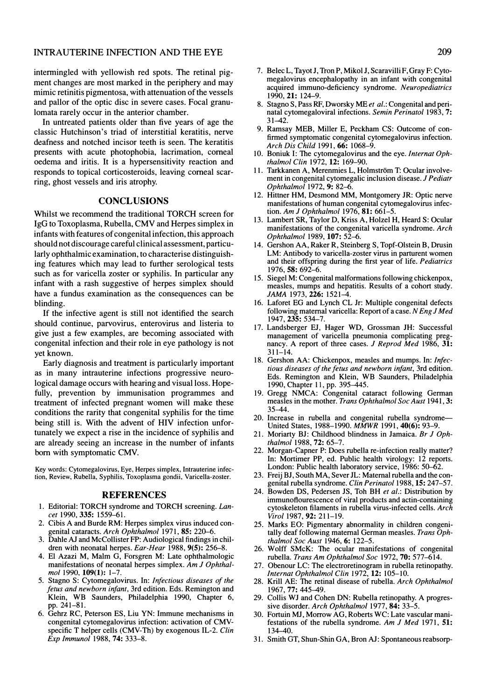#### INTRAUTERINE INFECTION AND THE EYE

intermingled with yellowish red spots. The retinal pigment changes are most marked in the periphery and may mimic retinitis pigmentosa, with attenuation of the vessels and pallor of the optic disc in severe cases. Focal granulomata rarely occur in the anterior chamber.

In untreated patients older than five years of age the classic Hutchinson's triad of interstitial keratitis, nerve deafness and notched incisor teeth is seen. The keratitis presents with acute photophobia, lacrimation, corneal oedema and iritis. It is a hypersensitivity reaction and responds to topical corticosteroids, leaving corneal scarring, ghost vessels and iris atrophy.

# **CONCLUSIONS**

Whilst we recommend the traditional TORCH screen for IgG to Toxoplasma, Rubella, CMV and Herpes simplex in infants with features of congenital infection, this approach should not discourage careful clinical assessment, particularly ophthalmic examination, to characterise distinguishing features which may lead to further serological tests such as for varicella zoster or syphilis. In particular any infant with a rash suggestive of herpes simplex should have a fundus examination as the consequences can be blinding.

If the infective agent is still not identified the search should continue, parvovirus, enterovirus and listeria to give just a few examples, are becoming associated with congenital infection and their role in eye pathology is not yet known.

Early diagnosis and treatment is particularly important as in many intrauterine infections progressive neurological damage occurs with hearing and visual loss. Hopefully, prevention by immunisation programmes and treatment of infected pregnant women will make these conditions the rarity that congenital syphilis for the time being still is. With the advent of HIV infection unfortunately we expect a rise in the incidence of syphilis and are already seeing an increase in the number of infants born with symptomatic CMV.

Key words: Cytomegalovirus, Eye, Herpes simplex, Intrauterine infection, Review, Rubella, Syphilis, Toxoplasma gondii, Varicella-zoster.

#### REFERENCES

- 1. Editorial: TORCH syndrome and TORCH screening. Lancet 1990, 335: 1559-61.
- 2. Cibis A and Burde RM: Herpes simplex virus induced congenital cataracts. Arch Ophthalmol 1971, 85: 220-6.
- Dahle AJ and McCollister FP: Audiological findings in children with neonatal herpes. Ear-Hear 1988, 9(5): 256-8.
- 4. EI Azazi M, Maim G, Forsgren M: Late ophthalmologic manifestations of neonatal herpes simplex. Am J Ophthalmol 1990, 109(1): 1-7.
- 5. Stagno S: Cytomegalovirus. In: Infectious diseases of the fetus and newborn infant, 3rd edition. Eds. Remington and Klein, WB Saunders, Philadelphia 1990, Chapter 6, pp.241-81.
- 6. Gehrz RC, Peterson ES, Liu YN: Immune mechanisms in congenital cytomegalovirus infection: activation of CMVspecific T helper cells (CMV-Th) by exogenous IL-2. Clin Exp Immunol 1988, 74: 333-8.
- 1990,21: 124-9. 8. Stagno S, Pass RF, Dworsky ME et al.: Congenital and perinatal cytomegaloviral infections. Semin Perinatol 1983, 7: 31-42.
- 9. Ramsay MEB, Miller E, Peckham CS: Outcome of confirmed symptomatic congenital cytomegalovirus infection. Arch Dis Child 1991, 66: 1068-9.
- 10. Boniuk I: The cytomegalovirus and the eye. Internat Ophthalmol Clin 1972, 12: 169-90.
- 11. Tarkkanen A, Merenmies L, Holmström T: Ocular involvement in congenital cytomegalic inclusion disease. J Pediatr Ophthalmol 1972, 9: 82-6.
- 12. Hittner HM, Desmond MM, Montgomery JR: Optic nerve manifestations of human congenital cytomegalovirus infection. Am J Ophthalmol 1976, 81: 661-5.
- 13. Lambert SR, Taylor 0, Kriss A, Holzel H, Heard S: Ocular manifestations of the congenital varicella syndrome. Arch Ophthalmol 1989, 107: 52-6.
- 14. Gershon AA, Raker R, Steinberg S, Topf-Olstein B, Drusin LM: Antibody to varicella-zoster virus in parturent women and their offspring during the first year of life. Pediatrics 1976,58: 692-6.
- 15. Siegel M: Congenital malformations following chickenpox, measles, mumps and hepatitis. Results of a cohort study. JAMA 1973, 226: 1521-4.
- 16. Laforet EG and Lynch CL Jr: Multiple congenital defects following maternal varicella: Report of a case. N Eng J Med 1947,235: 534-7.
- 17. Landsberger EJ, Hager WD, Grossman JH: Successful management of varicella pneumonia complicating pregnancy. A report of three cases. J Reprod Med 1986, 31:  $311 - 14$ .
- 18. Gershon AA: Chickenpox, measles and mumps. In: Infectious diseases of the fetus and newborn infant, 3rd edition. Eds. Remington and Klein, WB Saunders, Philadelphia 1990, Chapter 11, pp. 395-445.
- 19. Gregg NMCA: Congenital cataract following German measles in the mother. Trans Ophthalmol Soc Aust 1941, 3: 35-44.
- 20. Increase in rubella and congenital rubella syndrome-United States, 1988-1990. MMWR 1991,40(6): 93-9.
- 21. Moriarty BJ: Childhood blindness in Jamaica. Br 1 Ophthalmol 1988, 72: 65-7.
- 22. Morgan-Capner P: Does rubella re-infection really matter? In: Mortimer PP, ed. Public health virology: 12 reports. London: Public health laboratory service, 1986: 50-62.
- 23. Freij BJ, South MA, Sever JL: Maternal rubella and the congenital rubella syndrome. Clin Perinatol 1988, 15: 247-57.
- 24. Bowden DS, Pedersen JS, Toh BH et al.: Distribution by immunoflourescence of viral products and actin-containing cytoskeleton filaments in rubella virus-infected cells. Arch Viral 1987, 92: 211-19.
- 25. Marks EO: Pigmentary abnormality in children congenitally deaf following maternal German measles. Trans Ophthalmol Soc Aust 1946, 6: 122-5.
- 26. Wolff SMcK: The ocular manifestations of congenital rubella. Trans Am Ophthalmol Soc 1972, 70: 577-614.
- 27. Obenour LC: The electroretinogram in rubella retinopathy. Internat Ophthalmol Clin 1972, 12: 105-10.
- 28. Krill AE: The retinal disease of rubella. Arch Ophthalmol 1967,77: 445-49.
- 29. Collis WJ and Cohen ON: Rubella retinopathy. A progressive disorder. Arch Ophthalmol 1977, 84: 33-5.
- 30. Fortuin MJ, Morrow AG, Roberts WC: Late vascular manifestations of the rubella syndrome. Am J Med 1971, 51: 134-40.
- 31. Smith GT, Shun-Shin GA, Bron AJ: Spontaneous reabsorp-